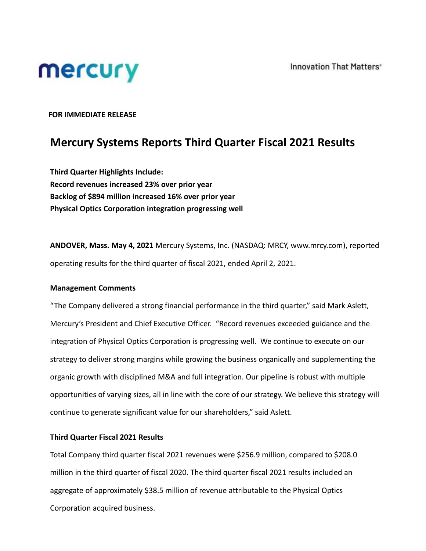**Innovation That Matters\*** 



# **FOR IMMEDIATE RELEASE**

# **Mercury Systems Reports Third Quarter Fiscal 2021 Results**

**Third Quarter Highlights Include: Record revenues increased 23% over prior year Backlog of \$894 million increased 16% over prior year Physical Optics Corporation integration progressing well**

**ANDOVER, Mass. May 4, 2021** Mercury Systems, Inc. (NASDAQ: MRCY, www.mrcy.com), reported operating results for the third quarter of fiscal 2021, ended April 2, 2021.

# **Management Comments**

"The Company delivered a strong financial performance in the third quarter," said Mark Aslett, Mercury's President and Chief Executive Officer. "Record revenues exceeded guidance and the integration of Physical Optics Corporation is progressing well. We continue to execute on our strategy to deliver strong margins while growing the business organically and supplementing the organic growth with disciplined M&A and full integration. Our pipeline is robust with multiple opportunities of varying sizes, all in line with the core of our strategy. We believe this strategy will continue to generate significant value for our shareholders," said Aslett.

# **Third Quarter Fiscal 2021 Results**

Total Company third quarter fiscal 2021 revenues were \$256.9 million, compared to \$208.0 million in the third quarter of fiscal 2020. The third quarter fiscal 2021 results included an aggregate of approximately \$38.5 million of revenue attributable to the Physical Optics Corporation acquired business.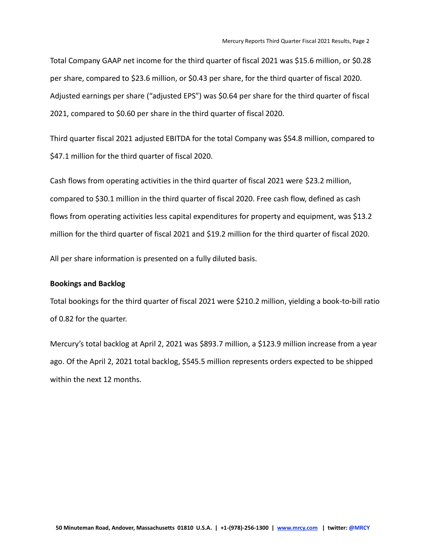Total Company GAAP net income for the third quarter of fiscal 2021 was \$15.6 million, or \$0.28 per share, compared to \$23.6 million, or \$0.43 per share, for the third quarter of fiscal 2020. Adjusted earnings per share ("adjusted EPS") was \$0.64 per share for the third quarter of fiscal 2021, compared to \$0.60 per share in the third quarter of fiscal 2020.

Third quarter fiscal 2021 adjusted EBITDA for the total Company was \$54.8 million, compared to \$47.1 million for the third quarter of fiscal 2020.

Cash flows from operating activities in the third quarter of fiscal 2021 were \$23.2 million, compared to \$30.1 million in the third quarter of fiscal 2020. Free cash flow, defined as cash flows from operating activities less capital expenditures for property and equipment, was \$13.2 million for the third quarter of fiscal 2021 and \$19.2 million for the third quarter of fiscal 2020.

All per share information is presented on a fully diluted basis.

# **Bookings and Backlog**

Total bookings for the third quarter of fiscal 2021 were \$210.2 million, yielding a book-to-bill ratio of 0.82 for the quarter.

Mercury's total backlog at April 2, 2021 was \$893.7 million, a \$123.9 million increase from a year ago. Of the April 2, 2021 total backlog, \$545.5 million represents orders expected to be shipped within the next 12 months.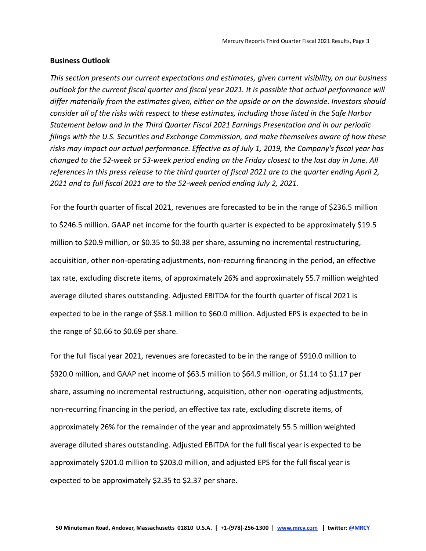#### **Business Outlook**

*This section presents our current expectations and estimates, given current visibility, on our business outlook for the current fiscal quarter and fiscal year 2021. It is possible that actual performance will differ materially from the estimates given, either on the upside or on the downside. Investors should consider all of the risks with respect to these estimates, including those listed in the Safe Harbor Statement below and in the Third Quarter Fiscal 2021 Earnings Presentation and in our periodic filings with the U.S. Securities and Exchange Commission, and make themselves aware of how these risks may impact our actual performance. Effective as of July 1, 2019, the Company's fiscal year has changed to the 52-week or 53-week period ending on the Friday closest to the last day in June. All references in this press release to the third quarter of fiscal 2021 are to the quarter ending April 2, 2021 and to full fiscal 2021 are to the 52-week period ending July 2, 2021.*

For the fourth quarter of fiscal 2021, revenues are forecasted to be in the range of \$236.5 million to \$246.5 million. GAAP net income for the fourth quarter is expected to be approximately \$19.5 million to \$20.9 million, or \$0.35 to \$0.38 per share, assuming no incremental restructuring, acquisition, other non-operating adjustments, non-recurring financing in the period, an effective tax rate, excluding discrete items, of approximately 26% and approximately 55.7 million weighted average diluted shares outstanding. Adjusted EBITDA for the fourth quarter of fiscal 2021 is expected to be in the range of \$58.1 million to \$60.0 million. Adjusted EPS is expected to be in the range of \$0.66 to \$0.69 per share.

For the full fiscal year 2021, revenues are forecasted to be in the range of \$910.0 million to \$920.0 million, and GAAP net income of \$63.5 million to \$64.9 million, or \$1.14 to \$1.17 per share, assuming no incremental restructuring, acquisition, other non-operating adjustments, non-recurring financing in the period, an effective tax rate, excluding discrete items, of approximately 26% for the remainder of the year and approximately 55.5 million weighted average diluted shares outstanding. Adjusted EBITDA for the full fiscal year is expected to be approximately \$201.0 million to \$203.0 million, and adjusted EPS for the full fiscal year is expected to be approximately \$2.35 to \$2.37 per share.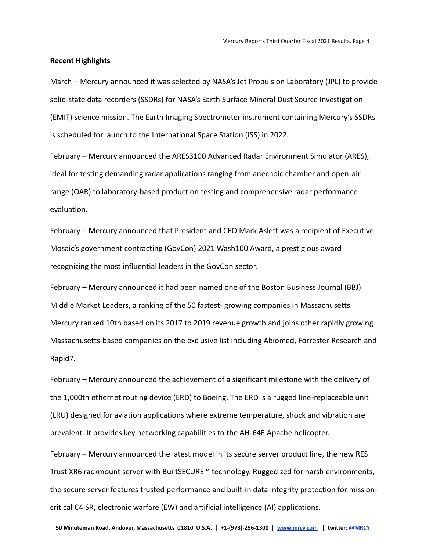#### **Recent Highlights**

March – Mercury announced it was selected by NASA's Jet Propulsion Laboratory (JPL) to provide solid-state data recorders (SSDRs) for NASA's Earth Surface Mineral Dust Source Investigation (EMIT) science mission. The Earth Imaging Spectrometer instrument containing Mercury's SSDRs is scheduled for launch to the International Space Station (ISS) in 2022.

February – Mercury announced the ARES3100 Advanced Radar Environment Simulator (ARES), ideal for testing demanding radar applications ranging from anechoic chamber and open-air range (OAR) to laboratory-based production testing and comprehensive radar performance evaluation.

February – Mercury announced that President and CEO Mark Aslett was a recipient of Executive Mosaic's government contracting (GovCon) 2021 Wash100 Award, a prestigious award recognizing the most influential leaders in the GovCon sector.

February – Mercury announced it had been named one of the Boston Business Journal (BBJ) Middle Market Leaders, a ranking of the 50 fastest- growing companies in Massachusetts. Mercury ranked 10th based on its 2017 to 2019 revenue growth and joins other rapidly growing Massachusetts-based companies on the exclusive list including Abiomed, Forrester Research and Rapid7.

February – Mercury announced the achievement of a significant milestone with the delivery of the 1,000th ethernet routing device (ERD) to Boeing. The ERD is a rugged line-replaceable unit (LRU) designed for aviation applications where extreme temperature, shock and vibration are prevalent. It provides key networking capabilities to the AH-64E Apache helicopter.

February – Mercury announced the latest model in its secure server product line, the new RES Trust XR6 rackmount server with BuiltSECURE™ technology. Ruggedized for harsh environments, the secure server features trusted performance and built-in data integrity protection for missioncritical C4ISR, electronic warfare (EW) and artificial intelligence (AI) applications.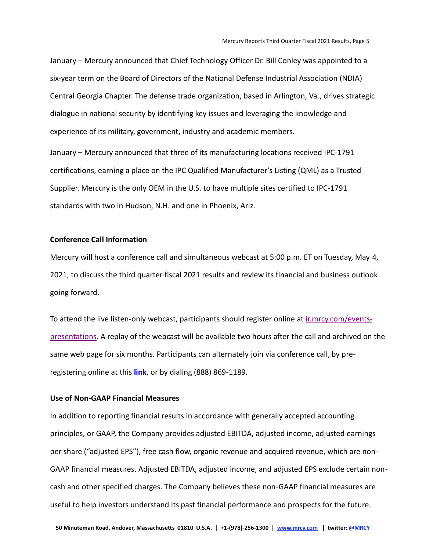January – Mercury announced that Chief Technology Officer Dr. Bill Conley was appointed to a six-year term on the Board of Directors of the National Defense Industrial Association (NDIA) Central Georgia Chapter. The defense trade organization, based in Arlington, Va., drives strategic dialogue in national security by identifying key issues and leveraging the knowledge and experience of its military, government, industry and academic members.

January – Mercury announced that three of its manufacturing locations received IPC-1791 certifications, earning a place on the IPC Qualified Manufacturer's Listing (QML) as a Trusted Supplier. Mercury is the only OEM in the U.S. to have multiple sites certified to IPC-1791 standards with two in Hudson, N.H. and one in Phoenix, Ariz.

## **Conference Call Information**

Mercury will host a conference call and simultaneous webcast at 5:00 p.m. ET on Tuesday, May 4, 2021, to discuss the third quarter fiscal 2021 results and review its financial and business outlook going forward.

To attend the live listen-only webcast, participants should register online at [ir.mrcy.com/events](https://ir.mrcy.com/events-presentations)[presentations.](https://ir.mrcy.com/events-presentations) A replay of the webcast will be available two hours after the call and archived on the same web page for six months. Participants can alternately join via conference call, by preregistering online at this **[link](http://www.directeventreg.com/registration/event/9992219)**, or by dialing (888) 869-1189.

# **Use of Non-GAAP Financial Measures**

In addition to reporting financial results in accordance with generally accepted accounting principles, or GAAP, the Company provides adjusted EBITDA, adjusted income, adjusted earnings per share ("adjusted EPS"), free cash flow, organic revenue and acquired revenue, which are non-GAAP financial measures. Adjusted EBITDA, adjusted income, and adjusted EPS exclude certain noncash and other specified charges. The Company believes these non-GAAP financial measures are useful to help investors understand its past financial performance and prospects for the future.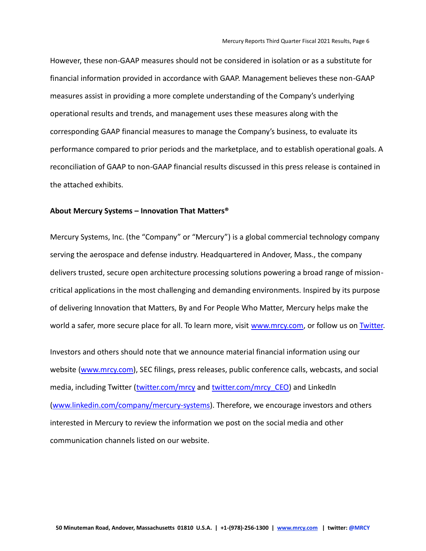However, these non-GAAP measures should not be considered in isolation or as a substitute for financial information provided in accordance with GAAP. Management believes these non-GAAP measures assist in providing a more complete understanding of the Company's underlying operational results and trends, and management uses these measures along with the corresponding GAAP financial measures to manage the Company's business, to evaluate its performance compared to prior periods and the marketplace, and to establish operational goals. A reconciliation of GAAP to non-GAAP financial results discussed in this press release is contained in the attached exhibits.

# **About Mercury Systems – Innovation That Matters®**

Mercury Systems, Inc. (the "Company" or "Mercury") is a global commercial technology company serving the aerospace and defense industry. Headquartered in Andover, Mass., the company delivers trusted, secure open architecture processing solutions powering a broad range of missioncritical applications in the most challenging and demanding environments. Inspired by its purpose of delivering Innovation that Matters, By and For People Who Matter, Mercury helps make the world a safer, more secure place for all. To learn more, visit www.mrcy.com, or follow us on Twitter.

Investors and others should note that we announce material financial information using our website (www.mrcy.com), SEC filings, press releases, public conference calls, webcasts, and social media, including Twitter (twitter.com/mrcy and twitter.com/mrcy\_CEO) and LinkedIn (www.linkedin.com/company/mercury-systems). Therefore, we encourage investors and others interested in Mercury to review the information we post on the social media and other communication channels listed on our website.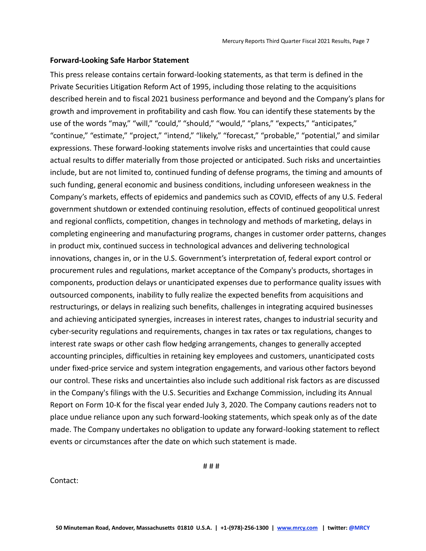#### **Forward-Looking Safe Harbor Statement**

This press release contains certain forward-looking statements, as that term is defined in the Private Securities Litigation Reform Act of 1995, including those relating to the acquisitions described herein and to fiscal 2021 business performance and beyond and the Company's plans for growth and improvement in profitability and cash flow. You can identify these statements by the use of the words "may," "will," "could," "should," "would," "plans," "expects," "anticipates," "continue," "estimate," "project," "intend," "likely," "forecast," "probable," "potential," and similar expressions. These forward-looking statements involve risks and uncertainties that could cause actual results to differ materially from those projected or anticipated. Such risks and uncertainties include, but are not limited to, continued funding of defense programs, the timing and amounts of such funding, general economic and business conditions, including unforeseen weakness in the Company's markets, effects of epidemics and pandemics such as COVID, effects of any U.S. Federal government shutdown or extended continuing resolution, effects of continued geopolitical unrest and regional conflicts, competition, changes in technology and methods of marketing, delays in completing engineering and manufacturing programs, changes in customer order patterns, changes in product mix, continued success in technological advances and delivering technological innovations, changes in, or in the U.S. Government's interpretation of, federal export control or procurement rules and regulations, market acceptance of the Company's products, shortages in components, production delays or unanticipated expenses due to performance quality issues with outsourced components, inability to fully realize the expected benefits from acquisitions and restructurings, or delays in realizing such benefits, challenges in integrating acquired businesses and achieving anticipated synergies, increases in interest rates, changes to industrial security and cyber-security regulations and requirements, changes in tax rates or tax regulations, changes to interest rate swaps or other cash flow hedging arrangements, changes to generally accepted accounting principles, difficulties in retaining key employees and customers, unanticipated costs under fixed-price service and system integration engagements, and various other factors beyond our control. These risks and uncertainties also include such additional risk factors as are discussed in the Company's filings with the U.S. Securities and Exchange Commission, including its Annual Report on Form 10-K for the fiscal year ended July 3, 2020. The Company cautions readers not to place undue reliance upon any such forward-looking statements, which speak only as of the date made. The Company undertakes no obligation to update any forward-looking statement to reflect events or circumstances after the date on which such statement is made.

# # #

Contact: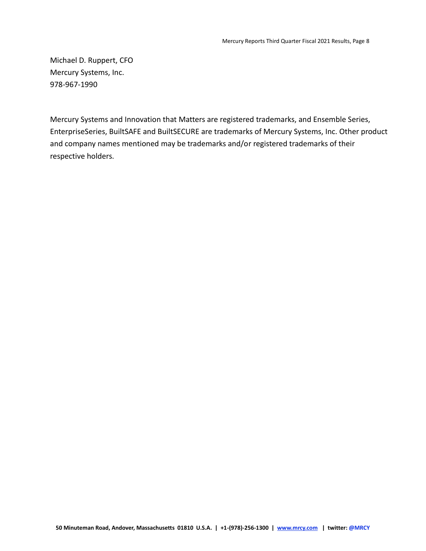Michael D. Ruppert, CFO Mercury Systems, Inc. 978-967-1990

Mercury Systems and Innovation that Matters are registered trademarks, and Ensemble Series, EnterpriseSeries, BuiltSAFE and BuiltSECURE are trademarks of Mercury Systems, Inc. Other product and company names mentioned may be trademarks and/or registered trademarks of their respective holders.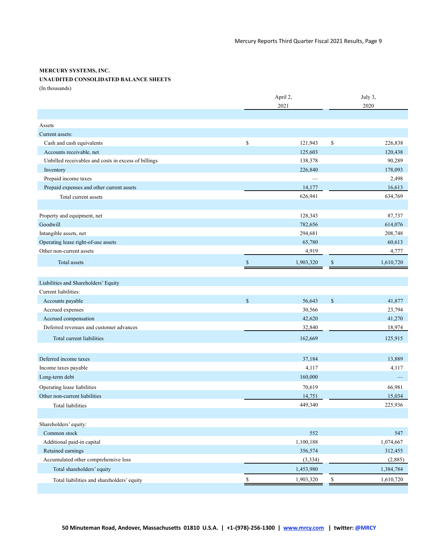#### **MERCURY SYSTEMS, INC.**

#### **UNAUDITED CONSOLIDATED BALANCE SHEETS**

(In thousands)

|                                                      |                                        | April 2,  | July 3,                                |           |  |  |
|------------------------------------------------------|----------------------------------------|-----------|----------------------------------------|-----------|--|--|
|                                                      |                                        | 2021      |                                        | 2020      |  |  |
|                                                      |                                        |           |                                        |           |  |  |
| Assets                                               |                                        |           |                                        |           |  |  |
| Current assets:                                      |                                        |           |                                        |           |  |  |
| Cash and cash equivalents                            | \$                                     | 121,943   | \$                                     | 226,838   |  |  |
| Accounts receivable, net                             |                                        | 125,603   |                                        | 120,438   |  |  |
| Unbilled receivables and costs in excess of billings |                                        | 138,378   |                                        | 90,289    |  |  |
| Inventory                                            |                                        | 226,840   |                                        | 178,093   |  |  |
| Prepaid income taxes                                 |                                        |           |                                        | 2,498     |  |  |
| Prepaid expenses and other current assets            |                                        | 14,177    |                                        | 16,613    |  |  |
| Total current assets                                 |                                        | 626,941   |                                        | 634,769   |  |  |
|                                                      |                                        |           |                                        |           |  |  |
| Property and equipment, net                          |                                        | 128,343   |                                        | 87,737    |  |  |
| Goodwill                                             |                                        | 782,656   |                                        | 614,076   |  |  |
| Intangible assets, net                               |                                        | 294,681   |                                        | 208,748   |  |  |
| Operating lease right-of-use assets                  |                                        | 65,780    |                                        | 60,613    |  |  |
| Other non-current assets                             |                                        | 4,919     |                                        | 4,777     |  |  |
| Total assets                                         | $\mathbb{S}$                           | 1,903,320 | \$                                     | 1,610,720 |  |  |
|                                                      |                                        |           |                                        |           |  |  |
| Liabilities and Shareholders' Equity                 |                                        |           |                                        |           |  |  |
| Current liabilities:                                 |                                        |           |                                        |           |  |  |
| Accounts payable                                     | $\mathbb{S}% _{n}^{X\left( t\right) }$ | 56,643    | $\mathbb{S}% _{n}^{X\left( t\right) }$ | 41,877    |  |  |
| Accrued expenses                                     |                                        | 30,566    |                                        | 23,794    |  |  |
| Accrued compensation                                 |                                        | 42,620    |                                        | 41,270    |  |  |
| Deferred revenues and customer advances              |                                        | 32,840    |                                        | 18,974    |  |  |
| Total current liabilities                            |                                        | 162,669   |                                        | 125,915   |  |  |
|                                                      |                                        |           |                                        |           |  |  |
| Deferred income taxes                                |                                        | 37,184    |                                        | 13,889    |  |  |
| Income taxes payable                                 |                                        | 4,117     |                                        | 4,117     |  |  |
| Long-term debt                                       |                                        | 160,000   |                                        |           |  |  |
| Operating lease liabilities                          |                                        | 70,619    |                                        | 66,981    |  |  |
| Other non-current liabilities                        |                                        | 14,751    |                                        | 15,034    |  |  |
| Total liabilities                                    |                                        | 449,340   |                                        | 225,936   |  |  |
|                                                      |                                        |           |                                        |           |  |  |
| Shareholders' equity:                                |                                        |           |                                        |           |  |  |
| Common stock                                         |                                        | 552       |                                        | 547       |  |  |
| Additional paid-in capital                           |                                        | 1,100,188 |                                        | 1,074,667 |  |  |
| Retained earnings                                    |                                        | 356,574   |                                        | 312,455   |  |  |
| Accumulated other comprehensive loss                 |                                        | (3, 334)  |                                        | (2,885)   |  |  |
| Total shareholders' equity                           |                                        | 1,453,980 |                                        | 1,384,784 |  |  |
| Total liabilities and shareholders' equity           | \$                                     | 1,903,320 | $\mathbb S$                            | 1,610,720 |  |  |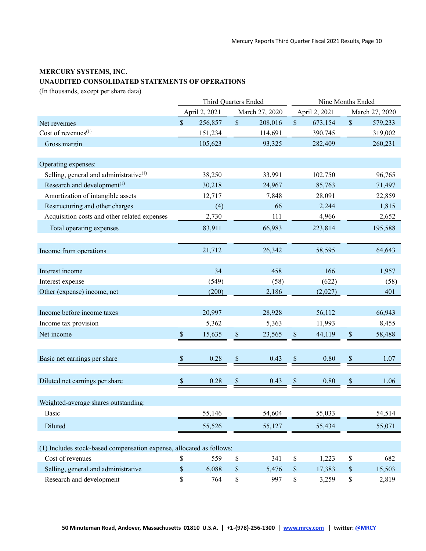# **MERCURY SYSTEMS, INC. UNAUDITED CONSOLIDATED STATEMENTS OF OPERATIONS**

(In thousands, except per share data)

|                                                                      |              | Third Quarters Ended |      |                | Nine Months Ended |         |    |                |  |  |
|----------------------------------------------------------------------|--------------|----------------------|------|----------------|-------------------|---------|----|----------------|--|--|
|                                                                      |              | April 2, 2021        |      | March 27, 2020 | April 2, 2021     |         |    | March 27, 2020 |  |  |
| Net revenues                                                         | \$           | 256,857              | $\$$ | 208,016        | $\sqrt{\ }$       | 673,154 | \$ | 579,233        |  |  |
| Cost of revenues $(1)$                                               |              | 151,234              |      | 114,691        |                   | 390,745 |    | 319,002        |  |  |
| Gross margin                                                         |              | 105,623              |      | 93,325         |                   | 282,409 |    | 260,231        |  |  |
| Operating expenses:                                                  |              |                      |      |                |                   |         |    |                |  |  |
| Selling, general and administrative $(1)$                            |              | 38,250               |      | 33,991         |                   | 102,750 |    | 96,765         |  |  |
| Research and development <sup>(1)</sup>                              |              | 30,218               |      | 24,967         |                   | 85,763  |    | 71,497         |  |  |
| Amortization of intangible assets                                    |              | 12,717               |      | 7,848          |                   | 28,091  |    | 22,859         |  |  |
| Restructuring and other charges                                      |              | (4)                  |      | 66             |                   | 2,244   |    | 1,815          |  |  |
| Acquisition costs and other related expenses                         |              | 2,730                |      | 111            |                   | 4,966   |    | 2,652          |  |  |
| Total operating expenses                                             |              | 83,911               |      | 66,983         |                   | 223,814 |    | 195,588        |  |  |
|                                                                      |              |                      |      |                |                   |         |    |                |  |  |
| Income from operations                                               |              | 21,712               |      | 26,342         |                   | 58,595  |    | 64,643         |  |  |
| Interest income                                                      |              | 34                   |      | 458            |                   | 166     |    | 1,957          |  |  |
| Interest expense                                                     |              | (549)                |      | (58)           |                   | (622)   |    | (58)           |  |  |
| Other (expense) income, net                                          |              | (200)                |      | 2,186          |                   | (2,027) |    | 401            |  |  |
| Income before income taxes                                           |              | 20,997               |      | 28,928         |                   | 56,112  |    | 66,943         |  |  |
| Income tax provision                                                 |              | 5,362                |      | 5,363          |                   | 11,993  |    | 8,455          |  |  |
| Net income                                                           | $\mathbb{S}$ | 15,635               | \$   | 23,565         | $\$$              | 44,119  | \$ | 58,488         |  |  |
|                                                                      |              |                      |      |                |                   |         |    |                |  |  |
| Basic net earnings per share                                         | $\mathbb{S}$ | 0.28                 | \$   | 0.43           | \$                | 0.80    | \$ | 1.07           |  |  |
| Diluted net earnings per share                                       | $\mathbb{S}$ | 0.28                 | \$   | 0.43           | \$                | 0.80    | \$ | 1.06           |  |  |
| Weighted-average shares outstanding:                                 |              |                      |      |                |                   |         |    |                |  |  |
| Basic                                                                |              | 55,146               |      | 54,604         |                   | 55,033  |    | 54,514         |  |  |
| Diluted                                                              |              | 55,526               |      | 55,127         |                   | 55,434  |    | 55,071         |  |  |
|                                                                      |              |                      |      |                |                   |         |    |                |  |  |
| (1) Includes stock-based compensation expense, allocated as follows: |              |                      |      |                |                   |         |    |                |  |  |
| Cost of revenues                                                     | \$           | 559                  | \$   | 341            | \$                | 1,223   | \$ | 682            |  |  |
| Selling, general and administrative                                  | $\mathbb S$  | 6,088                | \$   | 5,476          | \$                | 17,383  | \$ | 15,503         |  |  |
| Research and development                                             | \$           | 764                  | \$   | 997            | \$                | 3,259   | \$ | 2,819          |  |  |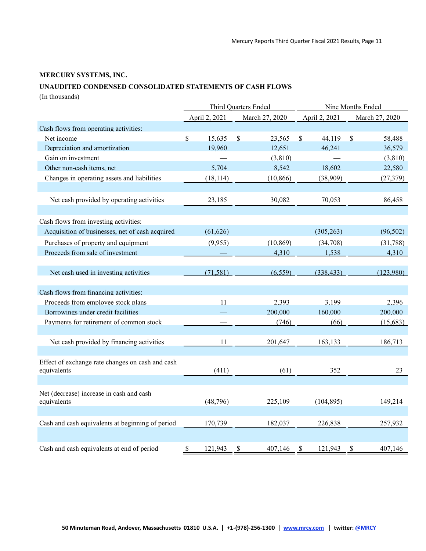# **MERCURY SYSTEMS, INC.**

# **UNAUDITED CONDENSED CONSOLIDATED STATEMENTS OF CASH FLOWS**

(In thousands)

|                                                                 |               | Third Quarters Ended    | Nine Months Ended |                |  |  |  |  |
|-----------------------------------------------------------------|---------------|-------------------------|-------------------|----------------|--|--|--|--|
|                                                                 | April 2, 2021 | March 27, 2020          | April 2, 2021     | March 27, 2020 |  |  |  |  |
| Cash flows from operating activities:                           |               |                         |                   |                |  |  |  |  |
| Net income                                                      | \$<br>15,635  | $\mathcal{S}$<br>23,565 | \$<br>44,119      | \$<br>58,488   |  |  |  |  |
| Depreciation and amortization                                   | 19,960        | 12,651                  | 46,241            | 36,579         |  |  |  |  |
| Gain on investment                                              |               | (3,810)                 |                   | (3,810)        |  |  |  |  |
| Other non-cash items, net                                       | 5,704         | 8,542                   | 18,602            | 22,580         |  |  |  |  |
| Changes in operating assets and liabilities                     | (18, 114)     | (10, 866)               | (38,909)          | (27, 379)      |  |  |  |  |
| Net cash provided by operating activities                       | 23,185        | 30,082                  | 70,053            | 86,458         |  |  |  |  |
| Cash flows from investing activities:                           |               |                         |                   |                |  |  |  |  |
| Acquisition of businesses, net of cash acquired                 | (61, 626)     |                         | (305, 263)        | (96, 502)      |  |  |  |  |
| Purchases of property and equipment                             | (9,955)       | (10, 869)               | (34,708)          | (31,788)       |  |  |  |  |
| Proceeds from sale of investment                                |               | 4,310                   | 1,538             | 4,310          |  |  |  |  |
| Net cash used in investing activities                           | (71, 581)     | (6, 559)                | (338, 433)        | (123,980)      |  |  |  |  |
| Cash flows from financing activities:                           |               |                         |                   |                |  |  |  |  |
| Proceeds from employee stock plans                              | 11            | 2,393                   | 3,199             | 2,396          |  |  |  |  |
| Borrowings under credit facilities                              |               | 200,000                 | 160,000           | 200,000        |  |  |  |  |
| Payments for retirement of common stock                         |               | (746)                   | (66)              | (15,683)       |  |  |  |  |
| Net cash provided by financing activities                       | 11            | 201,647                 | 163,133           | 186,713        |  |  |  |  |
| Effect of exchange rate changes on cash and cash<br>equivalents | (411)         | (61)                    | 352               | 23             |  |  |  |  |
| Net (decrease) increase in cash and cash<br>equivalents         | (48, 796)     | 225,109                 | (104, 895)        | 149,214        |  |  |  |  |
| Cash and cash equivalents at beginning of period                | 170,739       | 182,037                 | 226,838           | 257,932        |  |  |  |  |
|                                                                 |               |                         |                   |                |  |  |  |  |
| Cash and cash equivalents at end of period                      | \$<br>121,943 | \$<br>407,146           | S<br>121,943      | \$<br>407,146  |  |  |  |  |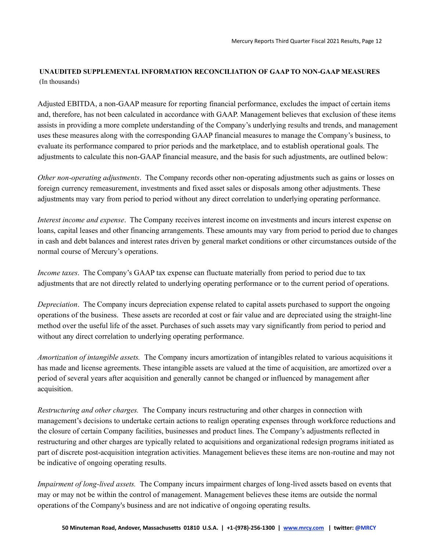# **UNAUDITED SUPPLEMENTAL INFORMATION RECONCILIATION OF GAAP TO NON-GAAP MEASURES** (In thousands)

Adjusted EBITDA, a non-GAAP measure for reporting financial performance, excludes the impact of certain items and, therefore, has not been calculated in accordance with GAAP. Management believes that exclusion of these items assists in providing a more complete understanding of the Company's underlying results and trends, and management uses these measures along with the corresponding GAAP financial measures to manage the Company's business, to evaluate its performance compared to prior periods and the marketplace, and to establish operational goals. The adjustments to calculate this non-GAAP financial measure, and the basis for such adjustments, are outlined below:

*Other non-operating adjustments*. The Company records other non-operating adjustments such as gains or losses on foreign currency remeasurement, investments and fixed asset sales or disposals among other adjustments. These adjustments may vary from period to period without any direct correlation to underlying operating performance.

*Interest income and expense*. The Company receives interest income on investments and incurs interest expense on loans, capital leases and other financing arrangements. These amounts may vary from period to period due to changes in cash and debt balances and interest rates driven by general market conditions or other circumstances outside of the normal course of Mercury's operations.

*Income taxes*. The Company's GAAP tax expense can fluctuate materially from period to period due to tax adjustments that are not directly related to underlying operating performance or to the current period of operations.

*Depreciation*. The Company incurs depreciation expense related to capital assets purchased to support the ongoing operations of the business. These assets are recorded at cost or fair value and are depreciated using the straight-line method over the useful life of the asset. Purchases of such assets may vary significantly from period to period and without any direct correlation to underlying operating performance.

*Amortization of intangible assets.* The Company incurs amortization of intangibles related to various acquisitions it has made and license agreements. These intangible assets are valued at the time of acquisition, are amortized over a period of several years after acquisition and generally cannot be changed or influenced by management after acquisition.

*Restructuring and other charges.* The Company incurs restructuring and other charges in connection with management's decisions to undertake certain actions to realign operating expenses through workforce reductions and the closure of certain Company facilities, businesses and product lines. The Company's adjustments reflected in restructuring and other charges are typically related to acquisitions and organizational redesign programs initiated as part of discrete post-acquisition integration activities. Management believes these items are non-routine and may not be indicative of ongoing operating results.

*Impairment of long-lived assets.* The Company incurs impairment charges of long-lived assets based on events that may or may not be within the control of management. Management believes these items are outside the normal operations of the Company's business and are not indicative of ongoing operating results.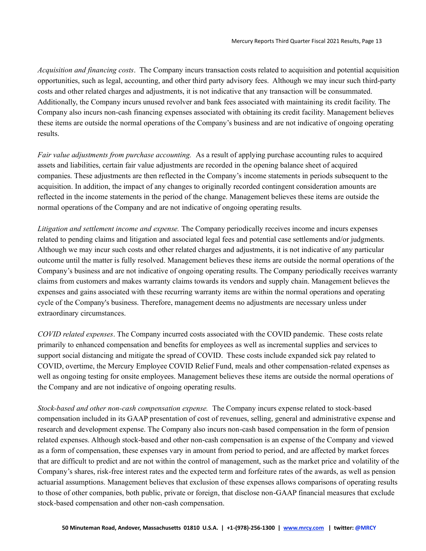*Acquisition and financing costs*. The Company incurs transaction costs related to acquisition and potential acquisition opportunities, such as legal, accounting, and other third party advisory fees. Although we may incur such third-party costs and other related charges and adjustments, it is not indicative that any transaction will be consummated. Additionally, the Company incurs unused revolver and bank fees associated with maintaining its credit facility. The Company also incurs non-cash financing expenses associated with obtaining its credit facility. Management believes these items are outside the normal operations of the Company's business and are not indicative of ongoing operating results.

*Fair value adjustments from purchase accounting.* As a result of applying purchase accounting rules to acquired assets and liabilities, certain fair value adjustments are recorded in the opening balance sheet of acquired companies. These adjustments are then reflected in the Company's income statements in periods subsequent to the acquisition. In addition, the impact of any changes to originally recorded contingent consideration amounts are reflected in the income statements in the period of the change. Management believes these items are outside the normal operations of the Company and are not indicative of ongoing operating results.

*Litigation and settlement income and expense.* The Company periodically receives income and incurs expenses related to pending claims and litigation and associated legal fees and potential case settlements and/or judgments. Although we may incur such costs and other related charges and adjustments, it is not indicative of any particular outcome until the matter is fully resolved. Management believes these items are outside the normal operations of the Company's business and are not indicative of ongoing operating results. The Company periodically receives warranty claims from customers and makes warranty claims towards its vendors and supply chain. Management believes the expenses and gains associated with these recurring warranty items are within the normal operations and operating cycle of the Company's business. Therefore, management deems no adjustments are necessary unless under extraordinary circumstances.

*COVID related expenses*. The Company incurred costs associated with the COVID pandemic. These costs relate primarily to enhanced compensation and benefits for employees as well as incremental supplies and services to support social distancing and mitigate the spread of COVID. These costs include expanded sick pay related to COVID, overtime, the Mercury Employee COVID Relief Fund, meals and other compensation-related expenses as well as ongoing testing for onsite employees. Management believes these items are outside the normal operations of the Company and are not indicative of ongoing operating results.

*Stock-based and other non-cash compensation expense.* The Company incurs expense related to stock-based compensation included in its GAAP presentation of cost of revenues, selling, general and administrative expense and research and development expense. The Company also incurs non-cash based compensation in the form of pension related expenses. Although stock-based and other non-cash compensation is an expense of the Company and viewed as a form of compensation, these expenses vary in amount from period to period, and are affected by market forces that are difficult to predict and are not within the control of management, such as the market price and volatility of the Company's shares, risk-free interest rates and the expected term and forfeiture rates of the awards, as well as pension actuarial assumptions. Management believes that exclusion of these expenses allows comparisons of operating results to those of other companies, both public, private or foreign, that disclose non-GAAP financial measures that exclude stock-based compensation and other non-cash compensation.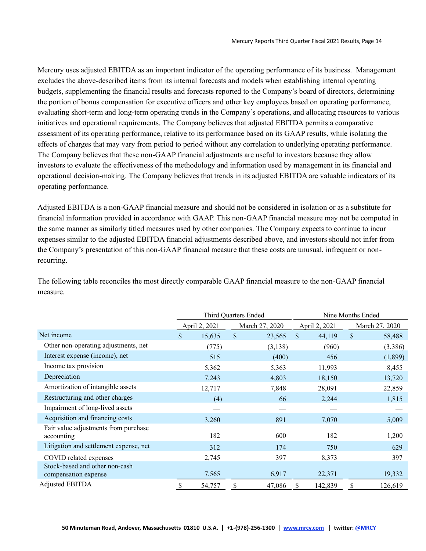Mercury uses adjusted EBITDA as an important indicator of the operating performance of its business. Management excludes the above-described items from its internal forecasts and models when establishing internal operating budgets, supplementing the financial results and forecasts reported to the Company's board of directors, determining the portion of bonus compensation for executive officers and other key employees based on operating performance, evaluating short-term and long-term operating trends in the Company's operations, and allocating resources to various initiatives and operational requirements. The Company believes that adjusted EBITDA permits a comparative assessment of its operating performance, relative to its performance based on its GAAP results, while isolating the effects of charges that may vary from period to period without any correlation to underlying operating performance. The Company believes that these non-GAAP financial adjustments are useful to investors because they allow investors to evaluate the effectiveness of the methodology and information used by management in its financial and operational decision-making. The Company believes that trends in its adjusted EBITDA are valuable indicators of its operating performance.

Adjusted EBITDA is a non-GAAP financial measure and should not be considered in isolation or as a substitute for financial information provided in accordance with GAAP. This non-GAAP financial measure may not be computed in the same manner as similarly titled measures used by other companies. The Company expects to continue to incur expenses similar to the adjusted EBITDA financial adjustments described above, and investors should not infer from the Company's presentation of this non-GAAP financial measure that these costs are unusual, infrequent or nonrecurring.

The following table reconciles the most directly comparable GAAP financial measure to the non-GAAP financial measure.

|                                                          |     | Third Quarters Ended |                | Nine Months Ended |               |    |                |  |  |
|----------------------------------------------------------|-----|----------------------|----------------|-------------------|---------------|----|----------------|--|--|
|                                                          |     | April 2, 2021        | March 27, 2020 |                   | April 2, 2021 |    | March 27, 2020 |  |  |
| Net income                                               | \$. | 15,635               | \$<br>23,565   | \$                | 44,119        | \$ | 58,488         |  |  |
| Other non-operating adjustments, net                     |     | (775)                | (3, 138)       |                   | (960)         |    | (3,386)        |  |  |
| Interest expense (income), net                           |     | 515                  | (400)          |                   | 456           |    | (1,899)        |  |  |
| Income tax provision                                     |     | 5,362                | 5,363          |                   | 11,993        |    | 8,455          |  |  |
| Depreciation                                             |     | 7,243                | 4,803          |                   | 18,150        |    | 13,720         |  |  |
| Amortization of intangible assets                        |     | 12,717               | 7,848          |                   | 28,091        |    | 22,859         |  |  |
| Restructuring and other charges                          |     | (4)                  | 66             |                   | 2,244         |    | 1,815          |  |  |
| Impairment of long-lived assets                          |     |                      |                |                   |               |    |                |  |  |
| Acquisition and financing costs                          |     | 3,260                | 891            |                   | 7,070         |    | 5,009          |  |  |
| Fair value adjustments from purchase<br>accounting       |     | 182                  | 600            |                   | 182           |    | 1,200          |  |  |
| Litigation and settlement expense, net                   |     |                      | 174            |                   |               |    |                |  |  |
|                                                          |     | 312                  |                |                   | 750           |    | 629            |  |  |
| COVID related expenses<br>Stock-based and other non-cash |     | 2,745                | 397            |                   | 8,373         |    | 397            |  |  |
| compensation expense                                     |     | 7,565                | 6,917          |                   | 22,371        |    | 19,332         |  |  |
| Adjusted EBITDA                                          | \$  | 54,757               | \$<br>47,086   | S                 | 142,839       | \$ | 126,619        |  |  |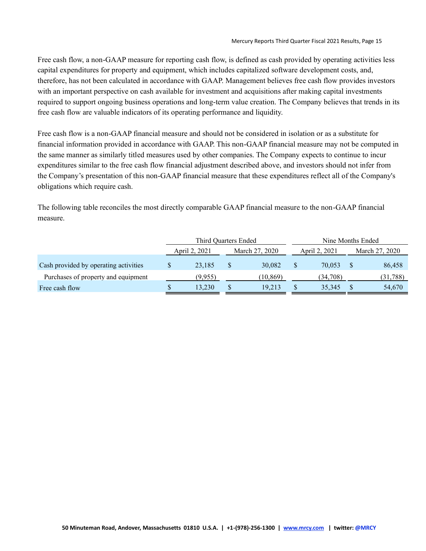Free cash flow, a non-GAAP measure for reporting cash flow, is defined as cash provided by operating activities less capital expenditures for property and equipment, which includes capitalized software development costs, and, therefore, has not been calculated in accordance with GAAP. Management believes free cash flow provides investors with an important perspective on cash available for investment and acquisitions after making capital investments required to support ongoing business operations and long-term value creation. The Company believes that trends in its free cash flow are valuable indicators of its operating performance and liquidity.

Free cash flow is a non-GAAP financial measure and should not be considered in isolation or as a substitute for financial information provided in accordance with GAAP. This non-GAAP financial measure may not be computed in the same manner as similarly titled measures used by other companies. The Company expects to continue to incur expenditures similar to the free cash flow financial adjustment described above, and investors should not infer from the Company's presentation of this non-GAAP financial measure that these expenditures reflect all of the Company's obligations which require cash.

The following table reconciles the most directly comparable GAAP financial measure to the non-GAAP financial measure.

|                                       |                                 | Third Ouarters Ended |  |          |             |               |                | Nine Months Ended |  |  |
|---------------------------------------|---------------------------------|----------------------|--|----------|-------------|---------------|----------------|-------------------|--|--|
|                                       | March 27, 2020<br>April 2, 2021 |                      |  |          |             | April 2, 2021 | March 27, 2020 |                   |  |  |
| Cash provided by operating activities |                                 | 23,185               |  | 30,082   | S<br>70.053 |               |                | 86,458            |  |  |
| Purchases of property and equipment   |                                 | (9.955)              |  | (10,869) |             | (34,708)      |                | (31, 788)         |  |  |
| Free cash flow                        | S                               | 13.230               |  | 19.213   | S           | 35,345        | S              | 54,670            |  |  |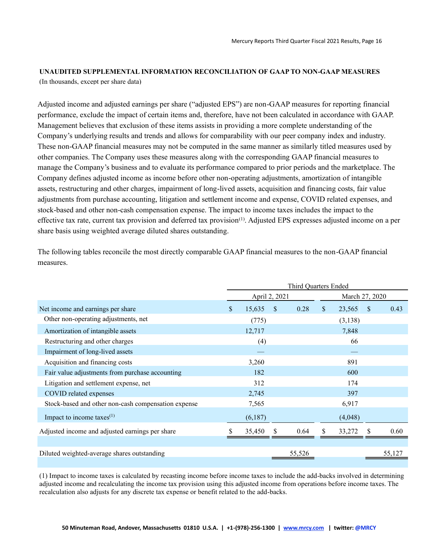# **UNAUDITED SUPPLEMENTAL INFORMATION RECONCILIATION OF GAAP TO NON-GAAP MEASURES** (In thousands, except per share data)

Adjusted income and adjusted earnings per share ("adjusted EPS") are non-GAAP measures for reporting financial performance, exclude the impact of certain items and, therefore, have not been calculated in accordance with GAAP. Management believes that exclusion of these items assists in providing a more complete understanding of the Company's underlying results and trends and allows for comparability with our peer company index and industry. These non-GAAP financial measures may not be computed in the same manner as similarly titled measures used by other companies. The Company uses these measures along with the corresponding GAAP financial measures to manage the Company's business and to evaluate its performance compared to prior periods and the marketplace. The Company defines adjusted income as income before other non-operating adjustments, amortization of intangible assets, restructuring and other charges, impairment of long-lived assets, acquisition and financing costs, fair value adjustments from purchase accounting, litigation and settlement income and expense, COVID related expenses, and stock-based and other non-cash compensation expense. The impact to income taxes includes the impact to the effective tax rate, current tax provision and deferred tax provision<sup>(1)</sup>. Adjusted EPS expresses adjusted income on a per share basis using weighted average diluted shares outstanding.

Third Quarters Ended April 2, 2021 March 27, 2020 Net income and earnings per share **\$** 15,635 \$ 0.28 \$ 23,565 \$ 0.43 Other non-operating adjustments, net (775) (3,138) Amortization of intangible assets 12,717 7,848 Restructuring and other charges (4) 66 Impairment of long-lived assets Acquisition and financing costs 3,260 891 Fair value adjustments from purchase accounting 182 600 Litigation and settlement expense, net 312 174 COVID related expenses 2,745 397 Stock-based and other non-cash compensation expense 7,565 6,917 Impact to income taxes<sup>(1)</sup> (6,187) (4,048) Adjusted income and adjusted earnings per share  $$ 35,450 \$ 0.64 \$ 33,272 \$ 0.60$ 

The following tables reconcile the most directly comparable GAAP financial measures to the non-GAAP financial measures.

Diluted weighted-average shares outstanding 55,526 55,127

(1) Impact to income taxes is calculated by recasting income before income taxes to include the add-backs involved in determining adjusted income and recalculating the income tax provision using this adjusted income from operations before income taxes. The recalculation also adjusts for any discrete tax expense or benefit related to the add-backs.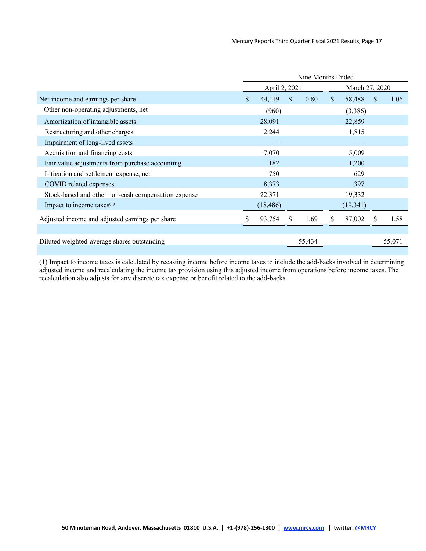|                                                     | Nine Months Ended |           |    |        |              |                |               |        |  |
|-----------------------------------------------------|-------------------|-----------|----|--------|--------------|----------------|---------------|--------|--|
|                                                     | April 2, 2021     |           |    |        |              | March 27, 2020 |               |        |  |
| Net income and earnings per share                   | \$                | 44,119    | \$ | 0.80   | $\mathbb{S}$ | 58,488         | <sup>\$</sup> | 1.06   |  |
| Other non-operating adjustments, net                |                   | (960)     |    |        |              | (3,386)        |               |        |  |
| Amortization of intangible assets                   |                   | 28,091    |    |        |              | 22,859         |               |        |  |
| Restructuring and other charges                     |                   | 2,244     |    |        |              | 1,815          |               |        |  |
| Impairment of long-lived assets                     |                   |           |    |        |              |                |               |        |  |
| Acquisition and financing costs                     |                   | 7,070     |    |        |              | 5,009          |               |        |  |
| Fair value adjustments from purchase accounting     |                   | 182       |    |        |              | 1,200          |               |        |  |
| Litigation and settlement expense, net              |                   | 750       |    |        |              | 629            |               |        |  |
| COVID related expenses                              |                   | 8,373     |    |        |              | 397            |               |        |  |
| Stock-based and other non-cash compensation expense |                   | 22,371    |    |        |              | 19,332         |               |        |  |
| Impact to income taxes $(1)$                        |                   | (18, 486) |    |        |              | (19, 341)      |               |        |  |
| Adjusted income and adjusted earnings per share     |                   | 93,754    |    | 1.69   |              | 87,002         |               | 1.58   |  |
|                                                     |                   |           |    |        |              |                |               |        |  |
| Diluted weighted-average shares outstanding         |                   |           |    | 55.434 |              |                |               | 55,071 |  |
|                                                     |                   |           |    |        |              |                |               |        |  |

(1) Impact to income taxes is calculated by recasting income before income taxes to include the add-backs involved in determining adjusted income and recalculating the income tax provision using this adjusted income from operations before income taxes. The recalculation also adjusts for any discrete tax expense or benefit related to the add-backs.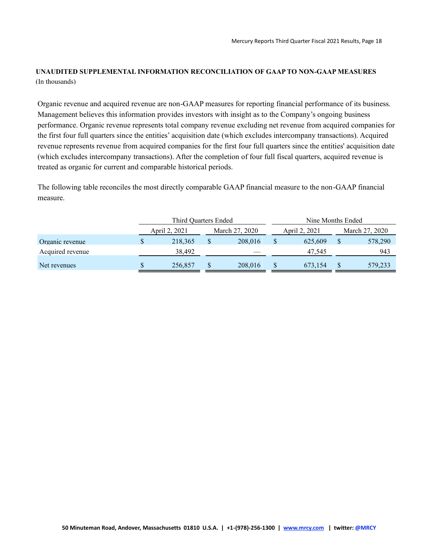# **UNAUDITED SUPPLEMENTAL INFORMATION RECONCILIATION OF GAAP TO NON-GAAP MEASURES** (In thousands)

Organic revenue and acquired revenue are non-GAAP measures for reporting financial performance of its business. Management believes this information provides investors with insight as to the Company's ongoing business performance. Organic revenue represents total company revenue excluding net revenue from acquired companies for the first four full quarters since the entities' acquisition date (which excludes intercompany transactions). Acquired revenue represents revenue from acquired companies for the first four full quarters since the entities' acquisition date (which excludes intercompany transactions). After the completion of four full fiscal quarters, acquired revenue is treated as organic for current and comparable historical periods.

The following table reconciles the most directly comparable GAAP financial measure to the non-GAAP financial measure.

|                  |         | Third Quarters Ended |                |  |               | Nine Months Ended |         |  |  |
|------------------|---------|----------------------|----------------|--|---------------|-------------------|---------|--|--|
|                  |         | April 2, 2021        | March 27, 2020 |  | April 2, 2021 | March 27, 2020    |         |  |  |
| Organic revenue  |         | 218,365              | 208,016        |  | 625.609       |                   | 578,290 |  |  |
| Acquired revenue | 38.492  |                      |                |  | 47.545        |                   | 943     |  |  |
| Net revenues     | 256,857 |                      | 208,016        |  | 673,154       |                   | 579,233 |  |  |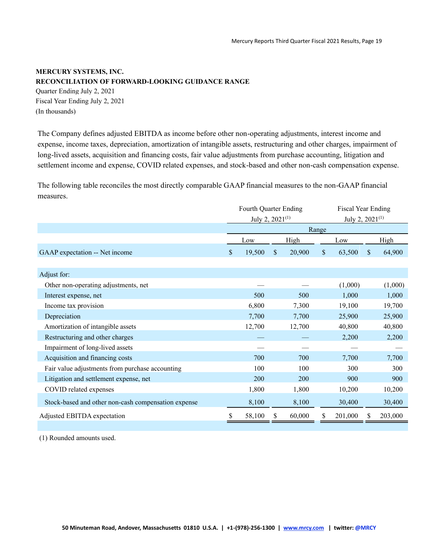# **MERCURY SYSTEMS, INC. RECONCILIATION OF FORWARD-LOOKING GUIDANCE RANGE**

Quarter Ending July 2, 2021 Fiscal Year Ending July 2, 2021 (In thousands)

The Company defines adjusted EBITDA as income before other non-operating adjustments, interest income and expense, income taxes, depreciation, amortization of intangible assets, restructuring and other charges, impairment of long-lived assets, acquisition and financing costs, fair value adjustments from purchase accounting, litigation and settlement income and expense, COVID related expenses, and stock-based and other non-cash compensation expense.

The following table reconciles the most directly comparable GAAP financial measures to the non-GAAP financial measures.

|                                                     | Fourth Quarter Ending       |    |        | <b>Fiscal Year Ending</b>   |         |      |         |  |
|-----------------------------------------------------|-----------------------------|----|--------|-----------------------------|---------|------|---------|--|
|                                                     | July 2, 2021 <sup>(1)</sup> |    |        | July 2, 2021 <sup>(1)</sup> |         |      |         |  |
|                                                     |                             |    |        |                             |         |      |         |  |
|                                                     | High<br>Low                 |    |        | Low                         |         | High |         |  |
| GAAP expectation -- Net income                      | \$<br>19,500                | \$ | 20,900 | \$                          | 63,500  | \$   | 64,900  |  |
|                                                     |                             |    |        |                             |         |      |         |  |
| Adjust for:                                         |                             |    |        |                             |         |      |         |  |
| Other non-operating adjustments, net                |                             |    |        |                             | (1,000) |      | (1,000) |  |
| Interest expense, net                               | 500                         |    | 500    |                             | 1,000   |      | 1,000   |  |
| Income tax provision                                | 6,800                       |    | 7,300  |                             | 19,100  |      | 19,700  |  |
| Depreciation                                        | 7,700                       |    | 7,700  |                             | 25,900  |      | 25,900  |  |
| Amortization of intangible assets                   | 12,700                      |    | 12,700 |                             | 40,800  |      | 40,800  |  |
| Restructuring and other charges                     |                             |    |        |                             | 2,200   |      | 2,200   |  |
| Impairment of long-lived assets                     |                             |    |        |                             |         |      |         |  |
| Acquisition and financing costs                     | 700                         |    | 700    |                             | 7,700   |      | 7,700   |  |
| Fair value adjustments from purchase accounting     | 100                         |    | 100    |                             | 300     |      | 300     |  |
| Litigation and settlement expense, net              | 200                         |    | 200    |                             | 900     |      | 900     |  |
| COVID related expenses                              | 1,800                       |    | 1,800  |                             | 10,200  |      | 10,200  |  |
| Stock-based and other non-cash compensation expense | 8,100                       |    | 8,100  |                             | 30,400  |      | 30,400  |  |
| Adjusted EBITDA expectation                         | \$<br>58,100                | \$ | 60,000 | \$                          | 201,000 | S    | 203,000 |  |

(1) Rounded amounts used.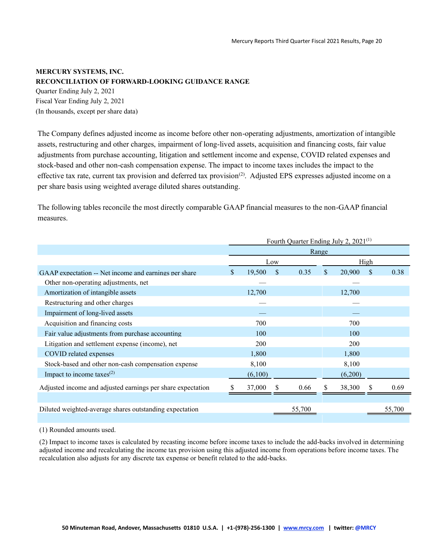# **MERCURY SYSTEMS, INC. RECONCILIATION OF FORWARD-LOOKING GUIDANCE RANGE**

Quarter Ending July 2, 2021 Fiscal Year Ending July 2, 2021 (In thousands, except per share data)

The Company defines adjusted income as income before other non-operating adjustments, amortization of intangible assets, restructuring and other charges, impairment of long-lived assets, acquisition and financing costs, fair value adjustments from purchase accounting, litigation and settlement income and expense, COVID related expenses and stock-based and other non-cash compensation expense. The impact to income taxes includes the impact to the effective tax rate, current tax provision and deferred tax provision<sup>(2)</sup>. Adjusted EPS expresses adjusted income on a per share basis using weighted average diluted shares outstanding.

The following tables reconcile the most directly comparable GAAP financial measures to the non-GAAP financial measures.

|                                                             | Fourth Quarter Ending July 2, $2021^{(1)}$ |         |    |        |    |            |  |        |  |  |  |
|-------------------------------------------------------------|--------------------------------------------|---------|----|--------|----|------------|--|--------|--|--|--|
|                                                             | Range                                      |         |    |        |    |            |  |        |  |  |  |
|                                                             |                                            | Low     |    | High   |    |            |  |        |  |  |  |
| GAAP expectation -- Net income and earnings per share       |                                            | 19,500  | \$ | 0.35   | \$ | 20,900     |  | 0.38   |  |  |  |
| Other non-operating adjustments, net                        |                                            |         |    |        |    |            |  |        |  |  |  |
| Amortization of intangible assets                           |                                            | 12,700  |    |        |    | 12,700     |  |        |  |  |  |
| Restructuring and other charges                             |                                            |         |    |        |    |            |  |        |  |  |  |
| Impairment of long-lived assets                             |                                            |         |    |        |    |            |  |        |  |  |  |
| Acquisition and financing costs                             |                                            | 700     |    |        |    | 700        |  |        |  |  |  |
| Fair value adjustments from purchase accounting             |                                            | 100     |    |        |    | 100        |  |        |  |  |  |
| Litigation and settlement expense (income), net             |                                            | 200     |    |        |    | <b>200</b> |  |        |  |  |  |
| COVID related expenses                                      |                                            | 1,800   |    |        |    | 1,800      |  |        |  |  |  |
| Stock-based and other non-cash compensation expense         |                                            | 8,100   |    |        |    | 8,100      |  |        |  |  |  |
| Impact to income taxes $^{(2)}$                             |                                            | (6,100) |    |        |    | (6,200)    |  |        |  |  |  |
| Adjusted income and adjusted earnings per share expectation |                                            | 37,000  | S. | 0.66   | S. | 38,300     |  | 0.69   |  |  |  |
|                                                             |                                            |         |    |        |    |            |  |        |  |  |  |
| Diluted weighted-average shares outstanding expectation     |                                            |         |    | 55.700 |    |            |  | 55,700 |  |  |  |
|                                                             |                                            |         |    |        |    |            |  |        |  |  |  |

(1) Rounded amounts used.

(2) Impact to income taxes is calculated by recasting income before income taxes to include the add-backs involved in determining adjusted income and recalculating the income tax provision using this adjusted income from operations before income taxes. The recalculation also adjusts for any discrete tax expense or benefit related to the add-backs.